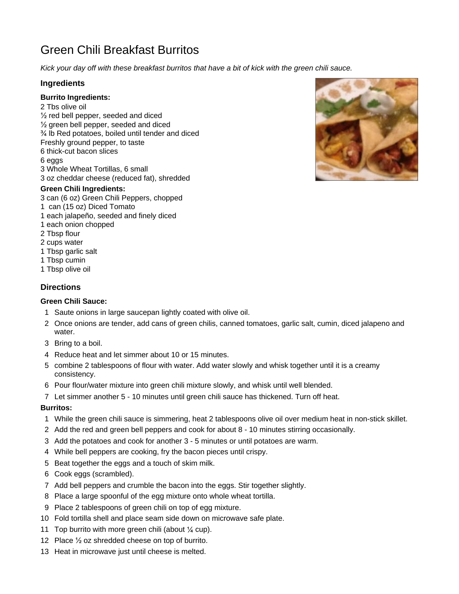# Green Chili Breakfast Burritos

*Kick your day off with these breakfast burritos that have a bit of kick with the green chili sauce.*

## **Ingredients**

### **Burrito Ingredients:**

2 Tbs olive oil ½ red bell pepper, seeded and diced  $\frac{1}{2}$  green bell pepper, seeded and diced ¾ lb Red potatoes, boiled until tender and diced Freshly ground pepper, to taste 6 thick-cut bacon slices 6 eggs 3 Whole Wheat Tortillas, 6 small 3 oz cheddar cheese (reduced fat), shredded

#### **Green Chili Ingredients:**

- 3 can (6 oz) Green Chili Peppers, chopped
- 1 can (15 oz) Diced Tomato
- 1 each jalapeño, seeded and finely diced
- 1 each onion chopped
- 2 Tbsp flour
- 2 cups water
- 1 Tbsp garlic salt
- 1 Tbsp cumin
- 1 Tbsp olive oil

## **Directions**

#### **Green Chili Sauce:**

- 1 Saute onions in large saucepan lightly coated with olive oil.
- 2 Once onions are tender, add cans of green chilis, canned tomatoes, garlic salt, cumin, diced jalapeno and water.
- 3 Bring to a boil.
- 4 Reduce heat and let simmer about 10 or 15 minutes.
- 5 combine 2 tablespoons of flour with water. Add water slowly and whisk together until it is a creamy consistency.
- 6 Pour flour/water mixture into green chili mixture slowly, and whisk until well blended.
- 7 Let simmer another 5 10 minutes until green chili sauce has thickened. Turn off heat.

## **Burritos:**

- 1 While the green chili sauce is simmering, heat 2 tablespoons olive oil over medium heat in non-stick skillet.
- 2 Add the red and green bell peppers and cook for about 8 10 minutes stirring occasionally.
- 3 Add the potatoes and cook for another 3 5 minutes or until potatoes are warm.
- 4 While bell peppers are cooking, fry the bacon pieces until crispy.
- 5 Beat together the eggs and a touch of skim milk.
- 6 Cook eggs (scrambled).
- 7 Add bell peppers and crumble the bacon into the eggs. Stir together slightly.
- 8 Place a large spoonful of the egg mixture onto whole wheat tortilla.
- 9 Place 2 tablespoons of green chili on top of egg mixture.
- 10 Fold tortilla shell and place seam side down on microwave safe plate.
- 11 Top burrito with more green chili (about  $\frac{1}{4}$  cup).
- 12 Place ½ oz shredded cheese on top of burrito.
- 13 Heat in microwave just until cheese is melted.